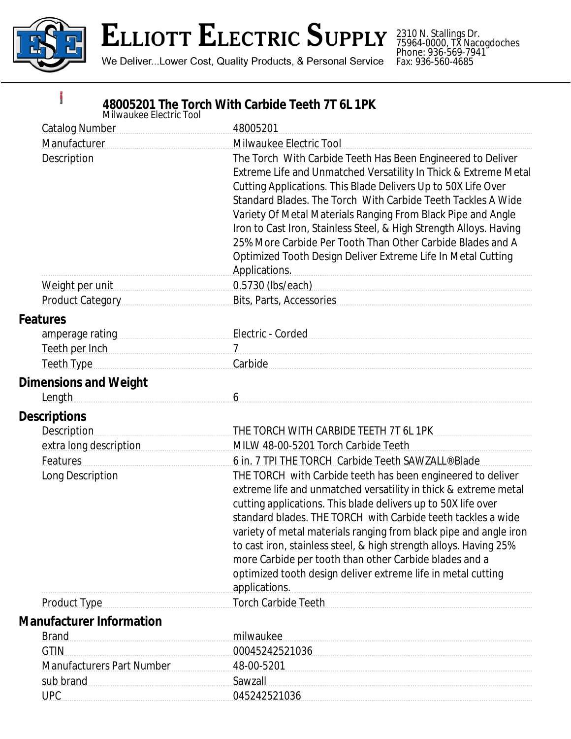

**Barnet** 

2310 N. Stallings Dr. 75964-0000, TX Nacogdoches Phone: 936-569-7941 Fax: 936-560-4685

## **48005201 The Torch With Carbide Teeth 7T 6L 1PK**

| Milwaukee Electric Tool                                                                                                                                                                                                              |                                                                                                                                                                                                                                |
|--------------------------------------------------------------------------------------------------------------------------------------------------------------------------------------------------------------------------------------|--------------------------------------------------------------------------------------------------------------------------------------------------------------------------------------------------------------------------------|
| <b>Catalog Number</b>                                                                                                                                                                                                                | 48005201                                                                                                                                                                                                                       |
| Manufacturer                                                                                                                                                                                                                         | Milwaukee Electric Tool                                                                                                                                                                                                        |
| Description                                                                                                                                                                                                                          | The Torch With Carbide Teeth Has Been Engineered to Deliver                                                                                                                                                                    |
|                                                                                                                                                                                                                                      | Extreme Life and Unmatched Versatility In Thick & Extreme Metal                                                                                                                                                                |
|                                                                                                                                                                                                                                      | Cutting Applications. This Blade Delivers Up to 50X Life Over                                                                                                                                                                  |
|                                                                                                                                                                                                                                      | Standard Blades. The Torch With Carbide Teeth Tackles A Wide                                                                                                                                                                   |
|                                                                                                                                                                                                                                      | Variety Of Metal Materials Ranging From Black Pipe and Angle                                                                                                                                                                   |
|                                                                                                                                                                                                                                      | Iron to Cast Iron, Stainless Steel, & High Strength Alloys. Having<br>25% More Carbide Per Tooth Than Other Carbide Blades and A                                                                                               |
|                                                                                                                                                                                                                                      |                                                                                                                                                                                                                                |
|                                                                                                                                                                                                                                      | Optimized Tooth Design Deliver Extreme Life In Metal Cutting<br>Applications.                                                                                                                                                  |
| Weight per unit                                                                                                                                                                                                                      | 0.5730 (lbs/each) example and contact the state of the state of the state of the state of the state of the state of the state of the state of the state of the state of the state of the state of the state of the state of th |
| Product Category                                                                                                                                                                                                                     | Bits, Parts, Accessories                                                                                                                                                                                                       |
| <b>Features</b>                                                                                                                                                                                                                      |                                                                                                                                                                                                                                |
| amperage rating manuscriptures and amperage rating                                                                                                                                                                                   | Electric - Corded                                                                                                                                                                                                              |
| Teeth per Inch <b>Executive Contract Contract Contract Contract Contract Contract Contract Contract Contract Contract Contract Contract Contract Contract Contract Contract Contract Contract Contract Contract Contract Contrac</b> | $7 \quad \text{---}$                                                                                                                                                                                                           |
| Teeth Type <b>Manual</b> Teeth Type                                                                                                                                                                                                  | Carbide                                                                                                                                                                                                                        |
|                                                                                                                                                                                                                                      |                                                                                                                                                                                                                                |
| <b>Dimensions and Weight</b>                                                                                                                                                                                                         | 6                                                                                                                                                                                                                              |
| Length                                                                                                                                                                                                                               |                                                                                                                                                                                                                                |
| <b>Descriptions</b>                                                                                                                                                                                                                  |                                                                                                                                                                                                                                |
| <b>Description</b>                                                                                                                                                                                                                   | THE TORCH WITH CARBIDE TEETH 7T 6L 1PK                                                                                                                                                                                         |
| extra long description                                                                                                                                                                                                               | MILW 48-00-5201 Torch Carbide Teeth                                                                                                                                                                                            |
| Features                                                                                                                                                                                                                             | 6 in. 7 TPI THE TORCH Carbide Teeth SAWZALL® Blade                                                                                                                                                                             |
| Long Description                                                                                                                                                                                                                     | THE TORCH with Carbide teeth has been engineered to deliver                                                                                                                                                                    |
|                                                                                                                                                                                                                                      | extreme life and unmatched versatility in thick & extreme metal                                                                                                                                                                |
|                                                                                                                                                                                                                                      | cutting applications. This blade delivers up to 50X life over<br>standard blades. THE TORCH with Carbide teeth tackles a wide                                                                                                  |
|                                                                                                                                                                                                                                      | variety of metal materials ranging from black pipe and angle iron                                                                                                                                                              |
|                                                                                                                                                                                                                                      | to cast iron, stainless steel, & high strength alloys. Having 25%                                                                                                                                                              |
|                                                                                                                                                                                                                                      | more Carbide per tooth than other Carbide blades and a                                                                                                                                                                         |
|                                                                                                                                                                                                                                      | optimized tooth design deliver extreme life in metal cutting                                                                                                                                                                   |
|                                                                                                                                                                                                                                      | applications.                                                                                                                                                                                                                  |
| <b>Product Type</b>                                                                                                                                                                                                                  | <b>Torch Carbide Teeth</b>                                                                                                                                                                                                     |
| <b>Manufacturer Information</b>                                                                                                                                                                                                      |                                                                                                                                                                                                                                |
| <b>Brand</b>                                                                                                                                                                                                                         | milwaukee                                                                                                                                                                                                                      |
| <b>GTIN</b>                                                                                                                                                                                                                          | 00045242521036                                                                                                                                                                                                                 |
| <b>Manufacturers Part Number</b>                                                                                                                                                                                                     | 48-00-5201                                                                                                                                                                                                                     |
| sub brand                                                                                                                                                                                                                            | Sawzall                                                                                                                                                                                                                        |
| <b>UPC</b>                                                                                                                                                                                                                           | 045242521036                                                                                                                                                                                                                   |